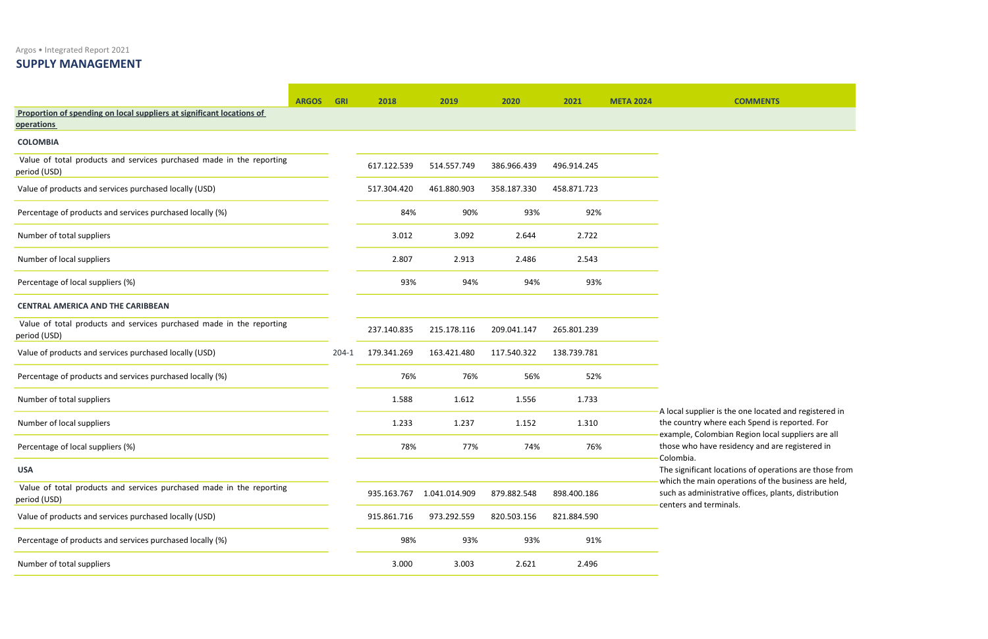Argos • Integrated Report 2021

## SUPPLY MANAGEMENT

|                                                                                            | <b>ARGOS</b> | <b>GRI</b> | 2018        | 2019          | 2020        | 2021        | <b>META 2024</b> | <b>COMMENTS</b>                                                                                           |
|--------------------------------------------------------------------------------------------|--------------|------------|-------------|---------------|-------------|-------------|------------------|-----------------------------------------------------------------------------------------------------------|
| Proportion of spending on local suppliers at significant locations of<br><b>operations</b> |              |            |             |               |             |             |                  |                                                                                                           |
| <b>COLOMBIA</b>                                                                            |              |            |             |               |             |             |                  |                                                                                                           |
| Value of total products and services purchased made in the reporting<br>period (USD)       |              |            | 617.122.539 | 514.557.749   | 386.966.439 | 496.914.245 |                  |                                                                                                           |
| Value of products and services purchased locally (USD)                                     |              |            | 517.304.420 | 461.880.903   | 358.187.330 | 458.871.723 |                  |                                                                                                           |
| Percentage of products and services purchased locally (%)                                  |              |            | 84%         | 90%           | 93%         | 92%         |                  |                                                                                                           |
| Number of total suppliers                                                                  |              |            | 3.012       | 3.092         | 2.644       | 2.722       |                  |                                                                                                           |
| Number of local suppliers                                                                  |              |            | 2.807       | 2.913         | 2.486       | 2.543       |                  |                                                                                                           |
| Percentage of local suppliers (%)                                                          |              |            | 93%         | 94%           | 94%         | 93%         |                  |                                                                                                           |
| <b>CENTRAL AMERICA AND THE CARIBBEAN</b>                                                   |              |            |             |               |             |             |                  |                                                                                                           |
| Value of total products and services purchased made in the reporting<br>period (USD)       |              |            | 237.140.835 | 215.178.116   | 209.041.147 | 265.801.239 |                  |                                                                                                           |
| Value of products and services purchased locally (USD)                                     |              | $204-1$    | 179.341.269 | 163.421.480   | 117.540.322 | 138.739.781 |                  |                                                                                                           |
| Percentage of products and services purchased locally (%)                                  |              |            | 76%         | 76%           | 56%         | 52%         |                  |                                                                                                           |
| Number of total suppliers                                                                  |              |            | 1.588       | 1.612         | 1.556       | 1.733       |                  |                                                                                                           |
| Number of local suppliers                                                                  |              |            | 1.233       | 1.237         | 1.152       | 1.310       |                  | A local supplier is the one located<br>the country where each Spend is<br>example, Colombian Region local |
| Percentage of local suppliers (%)                                                          |              |            | 78%         | 77%           | 74%         | 76%         |                  | those who have residency and are                                                                          |
| <b>USA</b>                                                                                 |              |            |             |               |             |             |                  | Colombia.<br>The significant locations of operation                                                       |
| Value of total products and services purchased made in the reporting<br>period (USD)       |              |            | 935.163.767 | 1.041.014.909 | 879.882.548 | 898.400.186 |                  | which the main operations of the<br>such as administrative offices, pla<br>centers and terminals.         |
| Value of products and services purchased locally (USD)                                     |              |            | 915.861.716 | 973.292.559   | 820.503.156 | 821.884.590 |                  |                                                                                                           |
| Percentage of products and services purchased locally (%)                                  |              |            | 98%         | 93%           | 93%         | 91%         |                  |                                                                                                           |
| Number of total suppliers                                                                  |              |            | 3.000       | 3.003         | 2.621       | 2.496       |                  |                                                                                                           |

er is the one located and registered in vhere each Spend is reported. For ombian Region local suppliers are all ve residency and are registered in

t locations of operations are those from ain operations of the business are held, nistrative offices, plants, distribution erminals.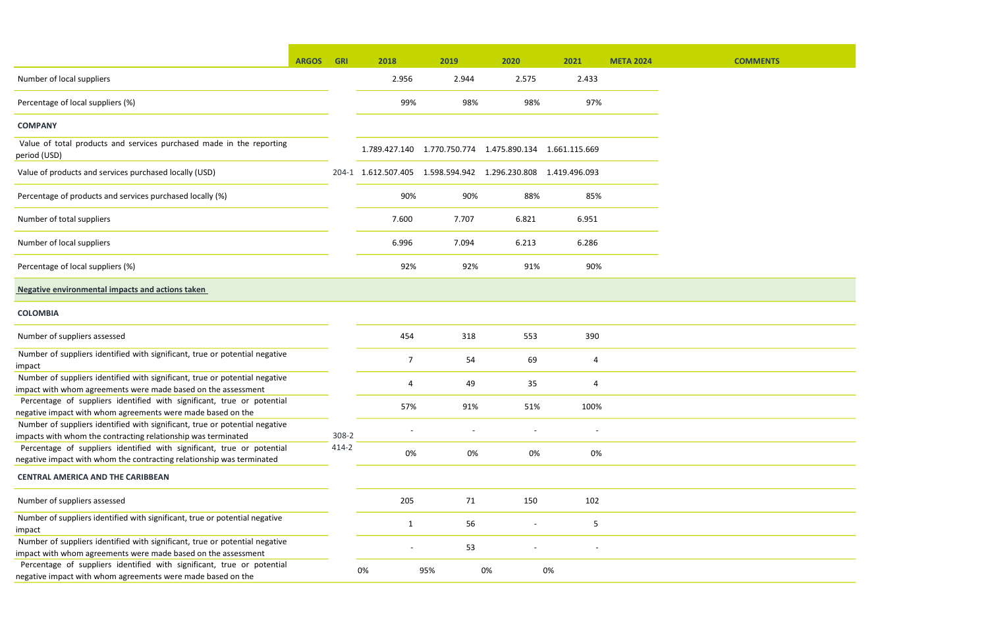|                                                                                                                                                 | <b>ARGOS</b> | <b>GRI</b> | 2018                                                       | 2019                                                       | 2020  | 2021  | <b>META 2024</b> |  |
|-------------------------------------------------------------------------------------------------------------------------------------------------|--------------|------------|------------------------------------------------------------|------------------------------------------------------------|-------|-------|------------------|--|
| Number of local suppliers                                                                                                                       |              |            | 2.956                                                      | 2.944                                                      | 2.575 | 2.433 |                  |  |
| Percentage of local suppliers (%)                                                                                                               |              |            | 99%                                                        | 98%                                                        | 98%   | 97%   |                  |  |
| <b>COMPANY</b>                                                                                                                                  |              |            |                                                            |                                                            |       |       |                  |  |
| Value of total products and services purchased made in the reporting<br>period (USD)                                                            |              |            |                                                            | 1.789.427.140  1.770.750.774  1.475.890.134  1.661.115.669 |       |       |                  |  |
| Value of products and services purchased locally (USD)                                                                                          |              | $204 - 1$  | 1.612.507.405  1.598.594.942  1.296.230.808  1.419.496.093 |                                                            |       |       |                  |  |
| Percentage of products and services purchased locally (%)                                                                                       |              |            | 90%                                                        | 90%                                                        | 88%   | 85%   |                  |  |
| Number of total suppliers                                                                                                                       |              |            | 7.600                                                      | 7.707                                                      | 6.821 | 6.951 |                  |  |
| Number of local suppliers                                                                                                                       |              |            | 6.996                                                      | 7.094                                                      | 6.213 | 6.286 |                  |  |
| Percentage of local suppliers (%)                                                                                                               |              |            | 92%                                                        | 92%                                                        | 91%   | 90%   |                  |  |
| Negative environmental impacts and actions taken                                                                                                |              |            |                                                            |                                                            |       |       |                  |  |
| <b>COLOMBIA</b>                                                                                                                                 |              |            |                                                            |                                                            |       |       |                  |  |
| Number of suppliers assessed                                                                                                                    |              |            | 454                                                        | 318                                                        | 553   | 390   |                  |  |
| Number of suppliers identified with significant, true or potential negative<br>impact                                                           |              |            | $\overline{7}$                                             | 54                                                         | 69    | 4     |                  |  |
| Number of suppliers identified with significant, true or potential negative<br>impact with whom agreements were made based on the assessment    |              |            | 4                                                          | 49                                                         | 35    | 4     |                  |  |
| Percentage of suppliers identified with significant, true or potential<br>negative impact with whom agreements were made based on the           |              |            | 57%                                                        | 91%                                                        | 51%   | 100%  |                  |  |
| Number of suppliers identified with significant, true or potential negative<br>impacts with whom the contracting relationship was terminated    |              | 308-2      |                                                            |                                                            |       |       |                  |  |
| Percentage of suppliers identified with significant, true or potential<br>negative impact with whom the contracting relationship was terminated |              | $414 - 2$  | 0%                                                         | 0%                                                         | 0%    | 0%    |                  |  |
| <b>CENTRAL AMERICA AND THE CARIBBEAN</b>                                                                                                        |              |            |                                                            |                                                            |       |       |                  |  |
| Number of suppliers assessed                                                                                                                    |              |            | 205                                                        | 71                                                         | 150   | 102   |                  |  |
| Number of suppliers identified with significant, true or potential negative<br>impact                                                           |              |            | $\mathbf{1}$                                               | 56                                                         |       | 5     |                  |  |
| Number of suppliers identified with significant, true or potential negative<br>impact with whom agreements were made based on the assessment    |              |            |                                                            | 53                                                         |       |       |                  |  |
| Percentage of suppliers identified with significant, true or potential<br>negative impact with whom agreements were made based on the           |              |            | 0%                                                         | 95%                                                        | 0%    | 0%    |                  |  |

## **COMMENTS**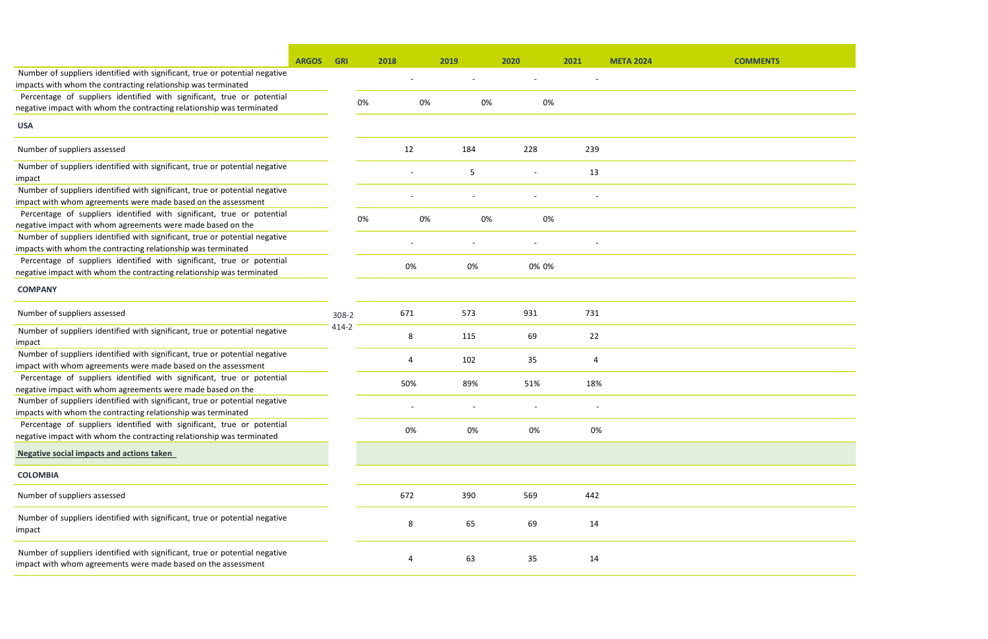|                                                                                                                                              | <b>ARGOS</b> | <b>GRI</b> | 2018 |    | 2019 | 2020           | 2021                     | <b>META 2024</b> | <b>COMMENTS</b> |
|----------------------------------------------------------------------------------------------------------------------------------------------|--------------|------------|------|----|------|----------------|--------------------------|------------------|-----------------|
| Number of suppliers identified with significant, true or potential negative                                                                  |              |            |      |    |      | $\blacksquare$ | $\overline{\phantom{a}}$ |                  |                 |
| impacts with whom the contracting relationship was terminated                                                                                |              |            |      |    |      |                |                          |                  |                 |
| Percentage of suppliers identified with significant, true or potential                                                                       |              |            | 0%   | 0% | 0%   | 0%             |                          |                  |                 |
| negative impact with whom the contracting relationship was terminated                                                                        |              |            |      |    |      |                |                          |                  |                 |
| <b>USA</b>                                                                                                                                   |              |            |      |    |      |                |                          |                  |                 |
| Number of suppliers assessed                                                                                                                 |              |            | 12   |    | 184  | 228            | 239                      |                  |                 |
| Number of suppliers identified with significant, true or potential negative<br>impact                                                        |              |            |      |    | 5    |                | 13                       |                  |                 |
| Number of suppliers identified with significant, true or potential negative<br>impact with whom agreements were made based on the assessment |              |            |      |    |      |                |                          |                  |                 |
| Percentage of suppliers identified with significant, true or potential                                                                       |              |            | 0%   | 0% | 0%   | 0%             |                          |                  |                 |
| negative impact with whom agreements were made based on the<br>Number of suppliers identified with significant, true or potential negative   |              |            |      |    |      |                |                          |                  |                 |
| impacts with whom the contracting relationship was terminated                                                                                |              |            |      |    |      |                |                          |                  |                 |
| Percentage of suppliers identified with significant, true or potential                                                                       |              |            |      |    |      |                |                          |                  |                 |
| negative impact with whom the contracting relationship was terminated                                                                        |              |            | 0%   |    | 0%   | 0% 0%          |                          |                  |                 |
| <b>COMPANY</b>                                                                                                                               |              |            |      |    |      |                |                          |                  |                 |
| Number of suppliers assessed                                                                                                                 |              | 308-2      | 671  |    | 573  | 931            | 731                      |                  |                 |
| Number of suppliers identified with significant, true or potential negative                                                                  |              | 414-2      |      |    |      |                |                          |                  |                 |
| impact                                                                                                                                       |              |            | 8    |    | 115  | 69             | 22                       |                  |                 |
| Number of suppliers identified with significant, true or potential negative                                                                  |              |            | 4    |    | 102  | 35             | 4                        |                  |                 |
| impact with whom agreements were made based on the assessment                                                                                |              |            |      |    |      |                |                          |                  |                 |
| Percentage of suppliers identified with significant, true or potential                                                                       |              |            | 50%  |    | 89%  | 51%            | 18%                      |                  |                 |
| negative impact with whom agreements were made based on the                                                                                  |              |            |      |    |      |                |                          |                  |                 |
| Number of suppliers identified with significant, true or potential negative<br>impacts with whom the contracting relationship was terminated |              |            |      |    |      |                |                          |                  |                 |
| Percentage of suppliers identified with significant, true or potential                                                                       |              |            |      |    |      |                |                          |                  |                 |
| negative impact with whom the contracting relationship was terminated                                                                        |              |            | 0%   |    | 0%   | 0%             | 0%                       |                  |                 |
| <b>Negative social impacts and actions taken</b>                                                                                             |              |            |      |    |      |                |                          |                  |                 |
| <b>COLOMBIA</b>                                                                                                                              |              |            |      |    |      |                |                          |                  |                 |
| Number of suppliers assessed                                                                                                                 |              |            | 672  |    | 390  | 569            | 442                      |                  |                 |
| Number of suppliers identified with significant, true or potential negative<br>impact                                                        |              |            | 8    |    | 65   | 69             | 14                       |                  |                 |
| Number of suppliers identified with significant, true or potential negative<br>impact with whom agreements were made based on the assessment |              |            | 4    |    | 63   | 35             | 14                       |                  |                 |

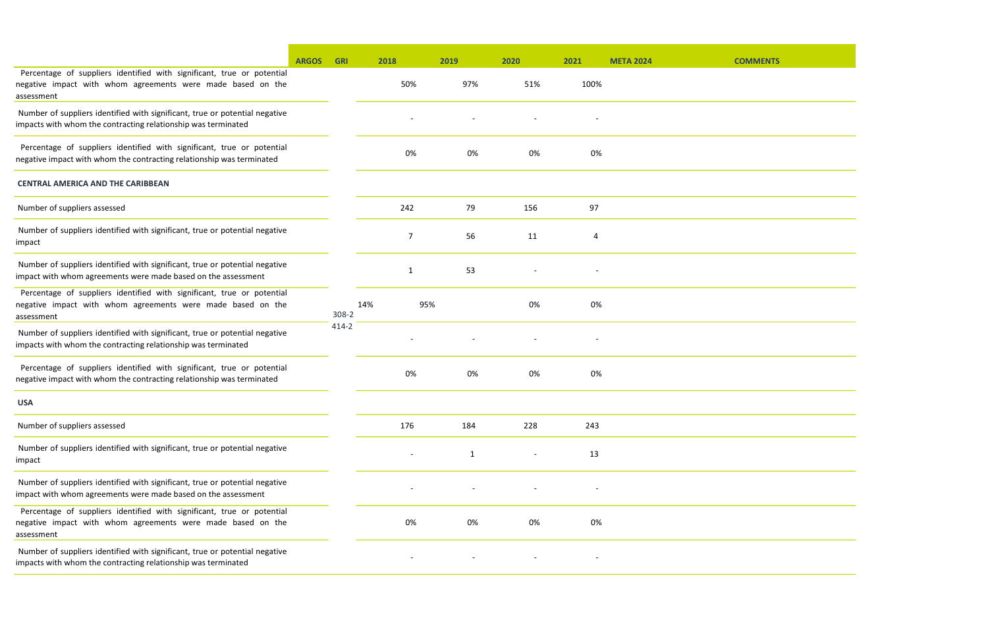| <b>COMMENTS</b> |  |
|-----------------|--|



|                                                                                                                                                     | <b>ARGOS</b> | <b>GRI</b> |     | 2018<br>2019 |              | 2020 |     | 2021 | <b>META 2024</b> |
|-----------------------------------------------------------------------------------------------------------------------------------------------------|--------------|------------|-----|--------------|--------------|------|-----|------|------------------|
| Percentage of suppliers identified with significant, true or potential<br>negative impact with whom agreements were made based on the<br>assessment |              |            |     | 50%          | 97%          |      | 51% | 100% |                  |
| Number of suppliers identified with significant, true or potential negative<br>impacts with whom the contracting relationship was terminated        |              |            |     |              |              |      |     |      |                  |
| Percentage of suppliers identified with significant, true or potential<br>negative impact with whom the contracting relationship was terminated     |              |            |     | 0%           | 0%           |      | 0%  | 0%   |                  |
| <b>CENTRAL AMERICA AND THE CARIBBEAN</b>                                                                                                            |              |            |     |              |              |      |     |      |                  |
| Number of suppliers assessed                                                                                                                        |              |            |     | 242          | 79           | 156  |     | 97   |                  |
| Number of suppliers identified with significant, true or potential negative<br>impact                                                               |              |            |     | 7            | 56           | 11   |     | 4    |                  |
| Number of suppliers identified with significant, true or potential negative<br>impact with whom agreements were made based on the assessment        |              |            |     | 1            | 53           |      |     |      |                  |
| Percentage of suppliers identified with significant, true or potential<br>negative impact with whom agreements were made based on the<br>assessment |              | 308-2      | 14% | 95%          |              |      | 0%  | 0%   |                  |
| Number of suppliers identified with significant, true or potential negative<br>impacts with whom the contracting relationship was terminated        |              | 414-2      |     |              |              |      |     |      |                  |
| Percentage of suppliers identified with significant, true or potential<br>negative impact with whom the contracting relationship was terminated     |              |            |     | 0%           | 0%           |      | 0%  | 0%   |                  |
| <b>USA</b>                                                                                                                                          |              |            |     |              |              |      |     |      |                  |
| Number of suppliers assessed                                                                                                                        |              |            |     | 176          | 184          | 228  |     | 243  |                  |
| Number of suppliers identified with significant, true or potential negative<br>impact                                                               |              |            |     |              | $\mathbf{1}$ |      |     | 13   |                  |
| Number of suppliers identified with significant, true or potential negative<br>impact with whom agreements were made based on the assessment        |              |            |     |              |              |      |     |      |                  |
| Percentage of suppliers identified with significant, true or potential<br>negative impact with whom agreements were made based on the<br>assessment |              |            |     | 0%           | 0%           |      | 0%  | 0%   |                  |
| Number of suppliers identified with significant, true or potential negative<br>impacts with whom the contracting relationship was terminated        |              |            |     |              |              |      |     |      |                  |